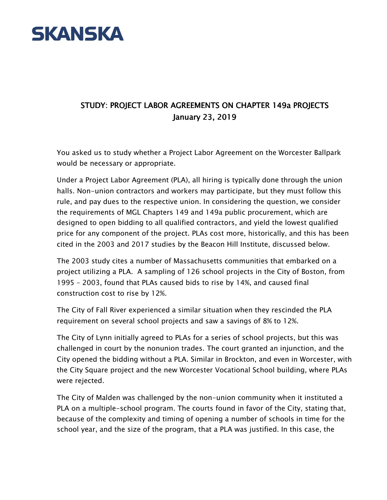

## STUDY: PROJECT LABOR AGREEMENTS ON CHAPTER 149a PROJECTS January 23, 2019

You asked us to study whether a Project Labor Agreement on the Worcester Ballpark would be necessary or appropriate.

Under a Project Labor Agreement (PLA), all hiring is typically done through the union halls. Non-union contractors and workers may participate, but they must follow this rule, and pay dues to the respective union. In considering the question, we consider the requirements of MGL Chapters 149 and 149a public procurement, which are designed to open bidding to all qualified contractors, and yield the lowest qualified price for any component of the project. PLAs cost more, historically, and this has been cited in the 2003 and 2017 studies by the Beacon Hill Institute, discussed below.

The 2003 study cites a number of Massachusetts communities that embarked on a project utilizing a PLA. A sampling of 126 school projects in the City of Boston, from 1995 – 2003, found that PLAs caused bids to rise by 14%, and caused final construction cost to rise by 12%.

The City of Fall River experienced a similar situation when they rescinded the PLA requirement on several school projects and saw a savings of 8% to 12%.

The City of Lynn initially agreed to PLAs for a series of school projects, but this was challenged in court by the nonunion trades. The court granted an injunction, and the City opened the bidding without a PLA. Similar in Brockton, and even in Worcester, with the City Square project and the new Worcester Vocational School building, where PLAs were rejected.

The City of Malden was challenged by the non-union community when it instituted a PLA on a multiple-school program. The courts found in favor of the City, stating that, because of the complexity and timing of opening a number of schools in time for the school year, and the size of the program, that a PLA was justified. In this case, the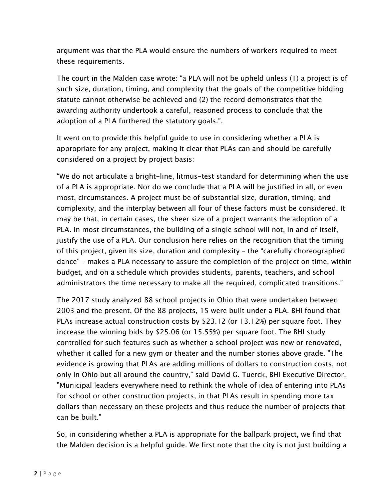argument was that the PLA would ensure the numbers of workers required to meet these requirements.

The court in the Malden case wrote: "a PLA will not be upheld unless (1) a project is of such size, duration, timing, and complexity that the goals of the competitive bidding statute cannot otherwise be achieved and (2) the record demonstrates that the awarding authority undertook a careful, reasoned process to conclude that the adoption of a PLA furthered the statutory goals.".

It went on to provide this helpful guide to use in considering whether a PLA is appropriate for any project, making it clear that PLAs can and should be carefully considered on a project by project basis:

"We do not articulate a bright-line, litmus-test standard for determining when the use of a PLA is appropriate. Nor do we conclude that a PLA will be justified in all, or even most, circumstances. A project must be of substantial size, duration, timing, and complexity, and the interplay between all four of these factors must be considered. It may be that, in certain cases, the sheer size of a project warrants the adoption of a PLA. In most circumstances, the building of a single school will not, in and of itself, justify the use of a PLA. Our conclusion here relies on the recognition that the timing of this project, given its size, duration and complexity – the "carefully choreographed dance" – makes a PLA necessary to assure the completion of the project on time, within budget, and on a schedule which provides students, parents, teachers, and school administrators the time necessary to make all the required, complicated transitions."

The 2017 study analyzed 88 school projects in Ohio that were undertaken between 2003 and the present. Of the 88 projects, 15 were built under a PLA. BHI found that PLAs increase actual construction costs by \$23.12 (or 13.12%) per square foot. They increase the winning bids by \$25.06 (or 15.55%) per square foot. The BHI study controlled for such features such as whether a school project was new or renovated, whether it called for a new gym or theater and the number stories above grade. "The evidence is growing that PLAs are adding millions of dollars to construction costs, not only in Ohio but all around the country," said David G. Tuerck, BHI Executive Director. "Municipal leaders everywhere need to rethink the whole of idea of entering into PLAs for school or other construction projects, in that PLAs result in spending more tax dollars than necessary on these projects and thus reduce the number of projects that can be built."

So, in considering whether a PLA is appropriate for the ballpark project, we find that the Malden decision is a helpful guide. We first note that the city is not just building a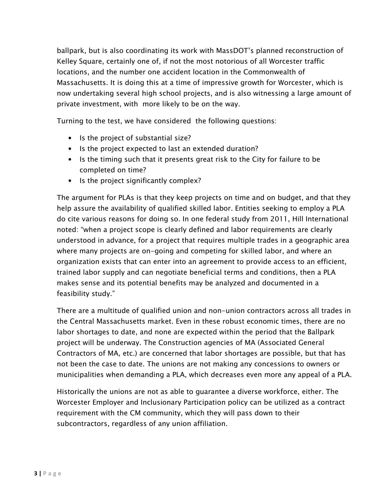ballpark, but is also coordinating its work with MassDOT's planned reconstruction of Kelley Square, certainly one of, if not the most notorious of all Worcester traffic locations, and the number one accident location in the Commonwealth of Massachusetts. It is doing this at a time of impressive growth for Worcester, which is now undertaking several high school projects, and is also witnessing a large amount of private investment, with more likely to be on the way.

Turning to the test, we have considered the following questions:

- Is the project of substantial size?
- Is the project expected to last an extended duration?
- Is the timing such that it presents great risk to the City for failure to be completed on time?
- Is the project significantly complex?

The argument for PLAs is that they keep projects on time and on budget, and that they help assure the availability of qualified skilled labor. Entities seeking to employ a PLA do cite various reasons for doing so. In one federal study from 2011, Hill International noted: "when a project scope is clearly defined and labor requirements are clearly understood in advance, for a project that requires multiple trades in a geographic area where many projects are on-going and competing for skilled labor, and where an organization exists that can enter into an agreement to provide access to an efficient, trained labor supply and can negotiate beneficial terms and conditions, then a PLA makes sense and its potential benefits may be analyzed and documented in a feasibility study."

There are a multitude of qualified union and non-union contractors across all trades in the Central Massachusetts market. Even in these robust economic times, there are no labor shortages to date, and none are expected within the period that the Ballpark project will be underway. The Construction agencies of MA (Associated General Contractors of MA, etc.) are concerned that labor shortages are possible, but that has not been the case to date. The unions are not making any concessions to owners or municipalities when demanding a PLA, which decreases even more any appeal of a PLA.

Historically the unions are not as able to guarantee a diverse workforce, either. The Worcester Employer and Inclusionary Participation policy can be utilized as a contract requirement with the CM community, which they will pass down to their subcontractors, regardless of any union affiliation.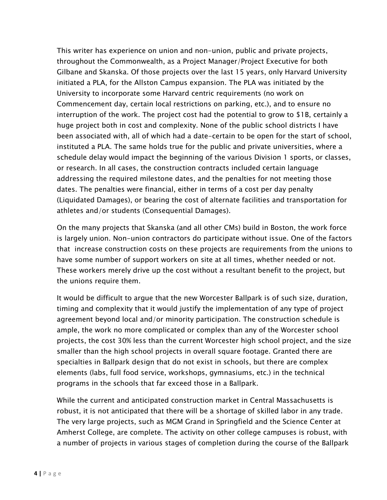This writer has experience on union and non-union, public and private projects, throughout the Commonwealth, as a Project Manager/Project Executive for both Gilbane and Skanska. Of those projects over the last 15 years, only Harvard University initiated a PLA, for the Allston Campus expansion. The PLA was initiated by the University to incorporate some Harvard centric requirements (no work on Commencement day, certain local restrictions on parking, etc.), and to ensure no interruption of the work. The project cost had the potential to grow to \$1B, certainly a huge project both in cost and complexity. None of the public school districts I have been associated with, all of which had a date-certain to be open for the start of school, instituted a PLA. The same holds true for the public and private universities, where a schedule delay would impact the beginning of the various Division 1 sports, or classes, or research. In all cases, the construction contracts included certain language addressing the required milestone dates, and the penalties for not meeting those dates. The penalties were financial, either in terms of a cost per day penalty (Liquidated Damages), or bearing the cost of alternate facilities and transportation for athletes and/or students (Consequential Damages).

On the many projects that Skanska (and all other CMs) build in Boston, the work force is largely union. Non-union contractors do participate without issue. One of the factors that increase construction costs on these projects are requirements from the unions to have some number of support workers on site at all times, whether needed or not. These workers merely drive up the cost without a resultant benefit to the project, but the unions require them.

It would be difficult to argue that the new Worcester Ballpark is of such size, duration, timing and complexity that it would justify the implementation of any type of project agreement beyond local and/or minority participation. The construction schedule is ample, the work no more complicated or complex than any of the Worcester school projects, the cost 30% less than the current Worcester high school project, and the size smaller than the high school projects in overall square footage. Granted there are specialties in Ballpark design that do not exist in schools, but there are complex elements (labs, full food service, workshops, gymnasiums, etc.) in the technical programs in the schools that far exceed those in a Ballpark.

While the current and anticipated construction market in Central Massachusetts is robust, it is not anticipated that there will be a shortage of skilled labor in any trade. The very large projects, such as MGM Grand in Springfield and the Science Center at Amherst College, are complete. The activity on other college campuses is robust, with a number of projects in various stages of completion during the course of the Ballpark